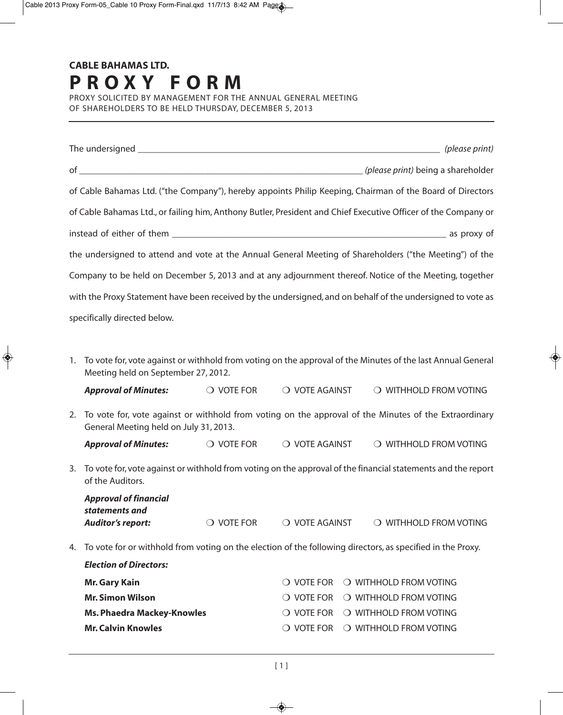# **CABLE BAHAMAS LTD. P R O X Y F O R M**

PROXY SOLICITED BY MANAGEMENT FOR THE ANNUAL GENERAL MEETING OF SHAREHOLDERS TO BE HELD THURSDAY, DECEMBER 5, 2013

|    | of Cable Bahamas Ltd. ("the Company"), hereby appoints Philip Keeping, Chairman of the Board of Directors                                             |                           |                     |                                                                                                                |
|----|-------------------------------------------------------------------------------------------------------------------------------------------------------|---------------------------|---------------------|----------------------------------------------------------------------------------------------------------------|
|    |                                                                                                                                                       |                           |                     | of Cable Bahamas Ltd., or failing him, Anthony Butler, President and Chief Executive Officer of the Company or |
|    |                                                                                                                                                       |                           |                     |                                                                                                                |
|    |                                                                                                                                                       |                           |                     |                                                                                                                |
|    |                                                                                                                                                       |                           |                     | the undersigned to attend and vote at the Annual General Meeting of Shareholders ("the Meeting") of the        |
|    |                                                                                                                                                       |                           |                     | Company to be held on December 5, 2013 and at any adjournment thereof. Notice of the Meeting, together         |
|    |                                                                                                                                                       |                           |                     | with the Proxy Statement have been received by the undersigned, and on behalf of the undersigned to vote as    |
|    | specifically directed below.                                                                                                                          |                           |                     |                                                                                                                |
|    |                                                                                                                                                       |                           |                     |                                                                                                                |
|    | 1. To vote for, vote against or withhold from voting on the approval of the Minutes of the last Annual General<br>Meeting held on September 27, 2012. |                           |                     |                                                                                                                |
|    | <b>Approval of Minutes:</b>                                                                                                                           | O VOTE FOR O VOTE AGAINST |                     | O WITHHOLD FROM VOTING                                                                                         |
| 2. | To vote for, vote against or withhold from voting on the approval of the Minutes of the Extraordinary<br>General Meeting held on July 31, 2013.       |                           |                     |                                                                                                                |
|    | <b>Approval of Minutes:</b>                                                                                                                           | O VOTE FOR O VOTE AGAINST |                     | O WITHHOLD FROM VOTING                                                                                         |
| 3. | To vote for, vote against or withhold from voting on the approval of the financial statements and the report<br>of the Auditors.                      |                           |                     |                                                                                                                |
|    | <b>Approval of financial</b>                                                                                                                          |                           |                     |                                                                                                                |
|    | statements and<br><b>Auditor's report:</b>                                                                                                            | $\bigcirc$ vote for       | O VOTE AGAINST      | O WITHHOLD FROM VOTING                                                                                         |
| 4. | To vote for or withhold from voting on the election of the following directors, as specified in the Proxy.                                            |                           |                     |                                                                                                                |
|    | <b>Election of Directors:</b>                                                                                                                         |                           |                     |                                                                                                                |
|    | <b>Mr. Gary Kain</b>                                                                                                                                  |                           | $\bigcirc$ vote for | O WITHHOLD FROM VOTING                                                                                         |
|    | <b>Mr. Simon Wilson</b>                                                                                                                               |                           | $\bigcirc$ vote for | O WITHHOLD FROM VOTING                                                                                         |
|    | <b>Ms. Phaedra Mackey-Knowles</b>                                                                                                                     |                           | $\bigcirc$ vote for | O WITHHOLD FROM VOTING                                                                                         |
|    | <b>Mr. Calvin Knowles</b>                                                                                                                             |                           | $\bigcirc$ vote for | O WITHHOLD FROM VOTING                                                                                         |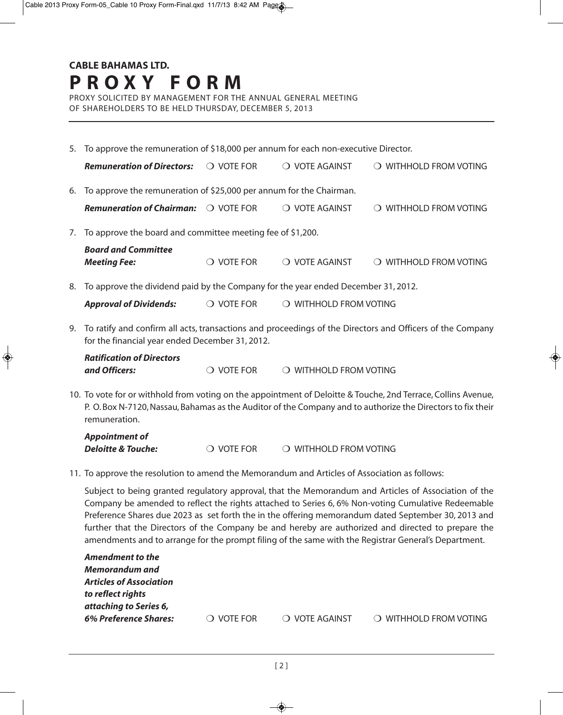### **CABLE BAHAMAS LTD. P R O X Y F O R M**

PROXY SOLICITED BY MANAGEMENT FOR THE ANNUAL GENERAL MEETING OF SHAREHOLDERS TO BE HELD THURSDAY, DECEMBER 5, 2013

5. To approve the remuneration of \$18,000 per annum for each non-executive Director.

| <b>Remuneration of Directors:</b>                                                    | $\bigcirc$ vote for | $\bigcirc$ vote against          | $\bigcirc$ withhold from voting |
|--------------------------------------------------------------------------------------|---------------------|----------------------------------|---------------------------------|
| 6. To approve the remuneration of $$25,000$ per annum for the Chairman.              |                     |                                  |                                 |
| <b>Remuneration of Chairman:</b>                                                     | $\bigcirc$ vote for | O VOTE AGAINST                   | $\bigcirc$ withhold from voting |
| 7. To approve the board and committee meeting fee of \$1,200.                        |                     |                                  |                                 |
| <b>Board and Committee</b><br><b>Meeting Fee:</b>                                    | <b>VOTE FOR</b>     | O VOTE AGAINST                   | $\bigcirc$ withhold from voting |
| 8. To approve the dividend paid by the Company for the year ended December 31, 2012. |                     |                                  |                                 |
| <b>Approval of Dividends:</b>                                                        | $\bigcirc$ vote for | $\bigcirc$ with HOLD FROM VOTING |                                 |

9. To ratify and confirm all acts, transactions and proceedings of the Directors and Officers of the Company for the financial year ended December 31, 2012.

| <b>Ratification of Directors</b> |                     |                        |
|----------------------------------|---------------------|------------------------|
| and Officers:                    | $\bigcirc$ vote for | ○ WITHHOLD FROM VOTING |

10. To vote for or withhold from voting on the appointment of Deloitte & Touche, 2nd Terrace, Collins Avenue, P. O. Box N-7120, Nassau, Bahamas as the Auditor of the Company and to authorize the Directors to fix their remuneration.

| <b>Appointment of</b>         |                     |                        |
|-------------------------------|---------------------|------------------------|
| <b>Deloitte &amp; Touche:</b> | $\bigcirc$ vote for | O WITHHOLD FROM VOTING |

11. To approve the resolution to amend the Memorandum and Articles of Association as follows:

Subject to being granted regulatory approval, that the Memorandum and Articles of Association of the Company be amended to reflect the rights attached to Series 6, 6% Non-voting Cumulative Redeemable Preference Shares due 2023 as set forth the in the offering memorandum dated September 30, 2013 and further that the Directors of the Company be and hereby are authorized and directed to prepare the amendments and to arrange for the prompt filing of the same with the Registrar General's Department.

| $\bigcirc$ with HOLD FROM VOTING |
|----------------------------------|
|                                  |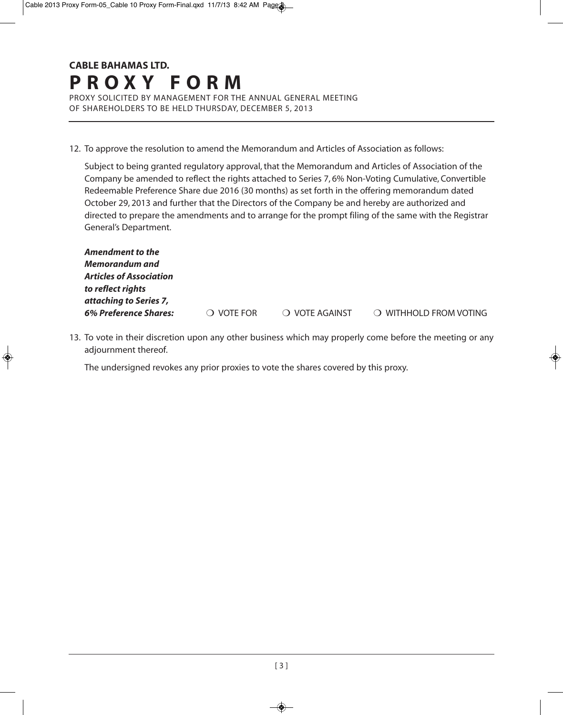#### **CABLE BAHAMAS LTD. P R O X Y F O R M** PROXY SOLICITED BY MANAGEMENT FOR THE ANNUAL GENERAL MEETING

OF SHAREHOLDERS TO BE HELD THURSDAY, DECEMBER 5, 2013

12. To approve the resolution to amend the Memorandum and Articles of Association as follows:

Subject to being granted regulatory approval, that the Memorandum and Articles of Association of the Company be amended to reflect the rights attached to Series 7, 6% Non-Voting Cumulative, Convertible Redeemable Preference Share due 2016 (30 months) as set forth in the offering memorandum dated October 29, 2013 and further that the Directors of the Company be and hereby are authorized and directed to prepare the amendments and to arrange for the prompt filing of the same with the Registrar General's Department.

| <b>Amendment to the</b>        |                     |                |                        |
|--------------------------------|---------------------|----------------|------------------------|
| <b>Memorandum and</b>          |                     |                |                        |
| <b>Articles of Association</b> |                     |                |                        |
| to reflect rights              |                     |                |                        |
| attaching to Series 7,         |                     |                |                        |
| <b>6% Preference Shares:</b>   | $\bigcirc$ vote for | O VOTE AGAINST | O WITHHOLD FROM VOTING |

13. To vote in their discretion upon any other business which may properly come before the meeting or any adjournment thereof.

The undersigned revokes any prior proxies to vote the shares covered by this proxy.